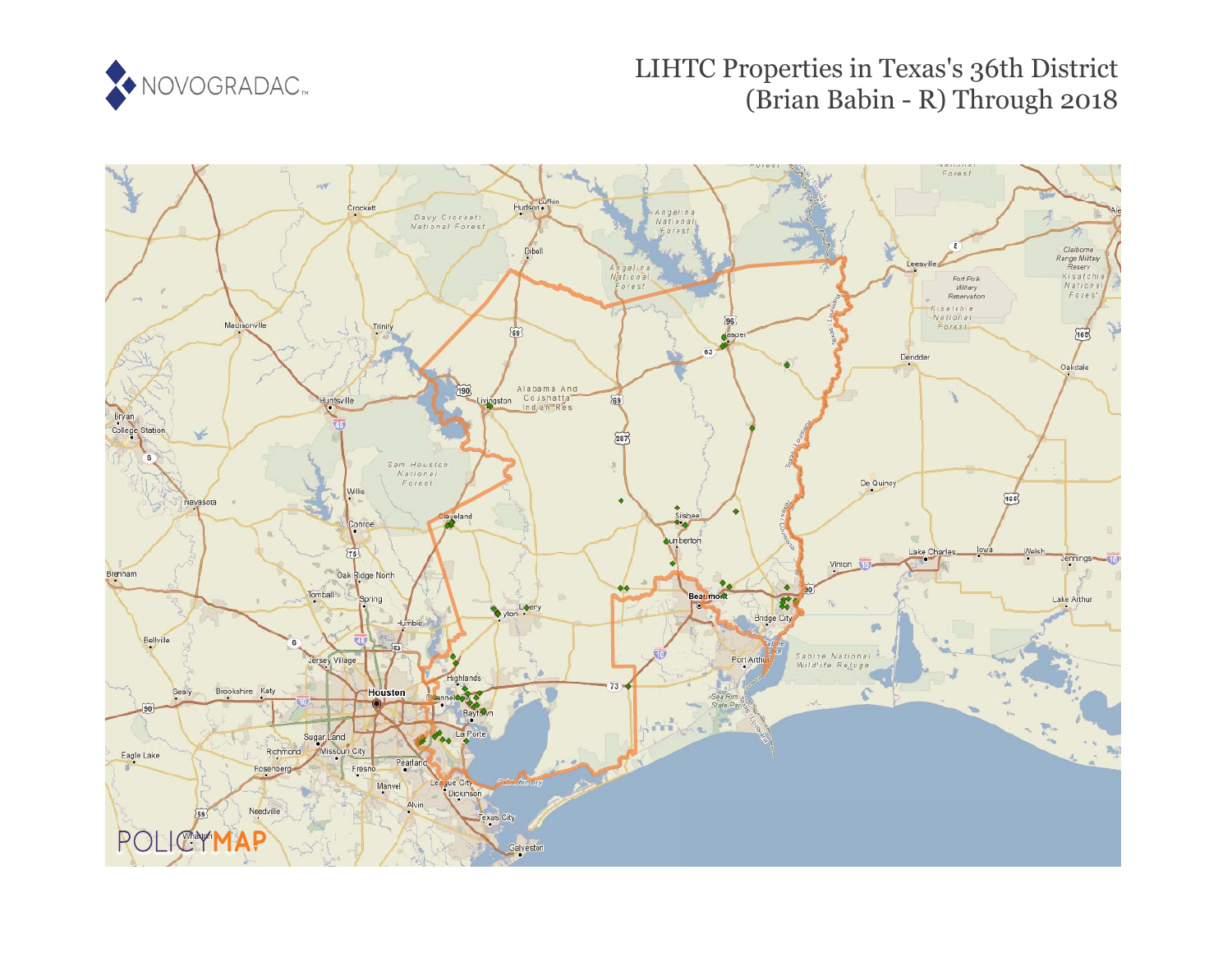

# LIHTC Properties in Texas's 36th District (Brian Babin - R) Through 2018

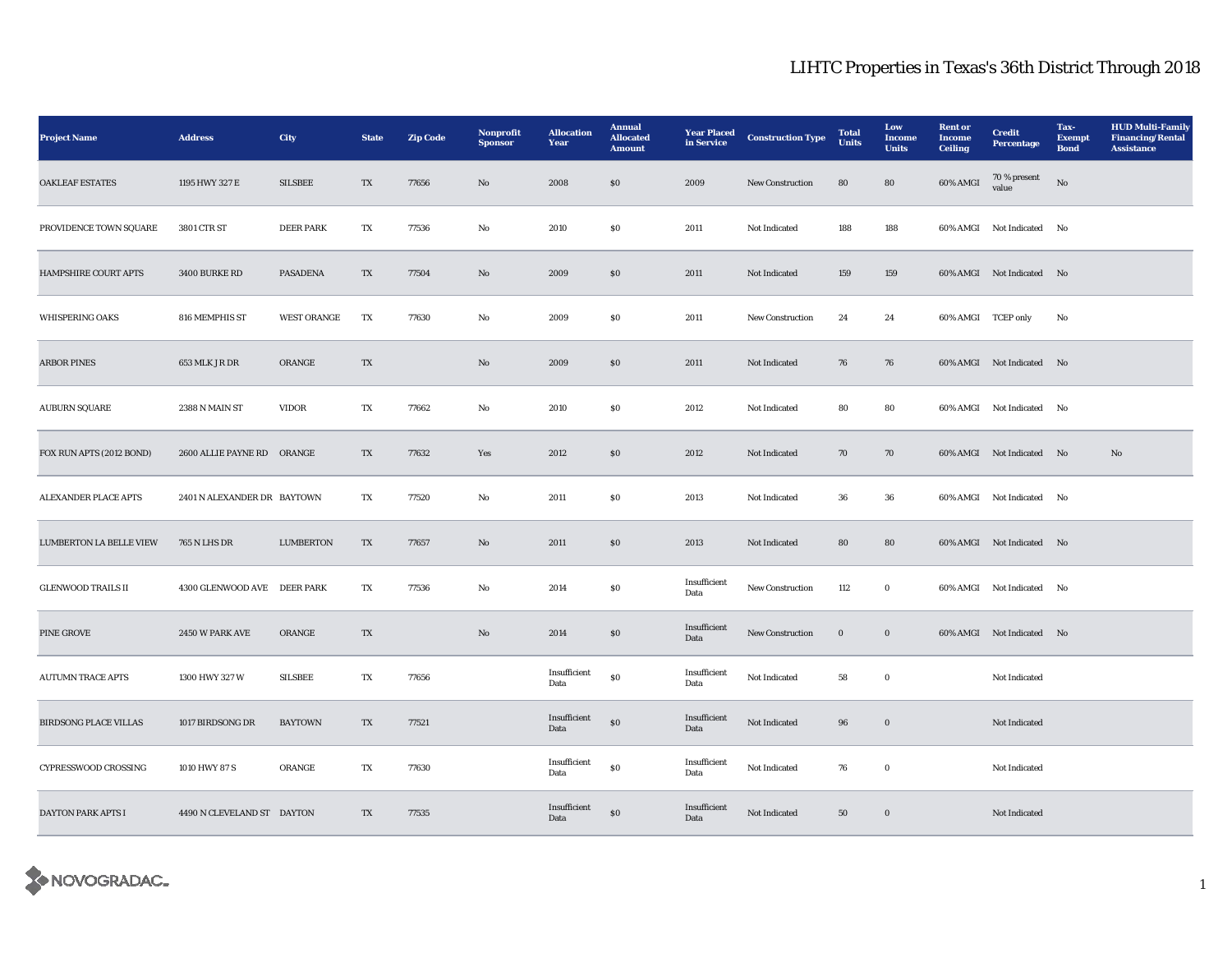| <b>Project Name</b>          | <b>Address</b>              | <b>City</b>        | <b>State</b>             | <b>Zip Code</b> | Nonprofit<br><b>Sponsor</b> | <b>Allocation</b><br>Year | <b>Annual</b><br><b>Allocated</b><br><b>Amount</b> | <b>Year Placed</b><br>in Service | <b>Construction Type</b> | <b>Total</b><br><b>Units</b> | Low<br>Income<br><b>Units</b> | <b>Rent</b> or<br><b>Income</b><br><b>Ceiling</b> | <b>Credit</b><br><b>Percentage</b> | Tax-<br><b>Exempt</b><br><b>Bond</b> | <b>HUD Multi-Family</b><br><b>Financing/Rental</b><br><b>Assistance</b> |
|------------------------------|-----------------------------|--------------------|--------------------------|-----------------|-----------------------------|---------------------------|----------------------------------------------------|----------------------------------|--------------------------|------------------------------|-------------------------------|---------------------------------------------------|------------------------------------|--------------------------------------|-------------------------------------------------------------------------|
| <b>OAKLEAF ESTATES</b>       | 1195 HWY 327 E              | <b>SILSBEE</b>     | TX                       | 77656           | No                          | 2008                      | SO                                                 | 2009                             | New Construction         | 80                           | 80                            | 60% AMGI                                          | 70 % present<br>value              | No                                   |                                                                         |
| PROVIDENCE TOWN SQUARE       | 3801 CTR ST                 | <b>DEER PARK</b>   | TX                       | 77536           | No                          | 2010                      | <b>SO</b>                                          | 2011                             | Not Indicated            | 188                          | 188                           |                                                   | 60% AMGI Not Indicated             | No                                   |                                                                         |
| HAMPSHIRE COURT APTS         | 3400 BURKE RD               | <b>PASADENA</b>    | TX                       | 77504           | No                          | 2009                      | \$0                                                | 2011                             | Not Indicated            | 159                          | 159                           |                                                   | 60% AMGI Not Indicated No          |                                      |                                                                         |
| WHISPERING OAKS              | 816 MEMPHIS ST              | <b>WEST ORANGE</b> | TX                       | 77630           | $_{\rm No}$                 | 2009                      | S <sub>0</sub>                                     | 2011                             | New Construction         | 24                           | 24                            | 60% AMGI TCEP only                                |                                    | No                                   |                                                                         |
| <b>ARBOR PINES</b>           | 653 MLK JR DR               | ORANGE             | TX                       |                 | $\rm No$                    | 2009                      | $\$0$                                              | 2011                             | Not Indicated            | 76                           | 76                            |                                                   | 60% AMGI Not Indicated No          |                                      |                                                                         |
| <b>AUBURN SQUARE</b>         | 2388 N MAIN ST              | <b>VIDOR</b>       | TX                       | 77662           | No                          | 2010                      | S <sub>0</sub>                                     | 2012                             | Not Indicated            | 80                           | 80                            |                                                   | 60% AMGI Not Indicated No          |                                      |                                                                         |
| FOX RUN APTS (2012 BOND)     | 2600 ALLIE PAYNE RD ORANGE  |                    | TX                       | 77632           | Yes                         | 2012                      | SO                                                 | 2012                             | Not Indicated            | 70                           | 70                            |                                                   | 60% AMGI Not Indicated No          |                                      | No                                                                      |
| <b>ALEXANDER PLACE APTS</b>  | 2401 N ALEXANDER DR BAYTOWN |                    | TX                       | 77520           | No                          | 2011                      | <b>SO</b>                                          | 2013                             | Not Indicated            | 36                           | 36                            |                                                   | 60% AMGI Not Indicated No          |                                      |                                                                         |
| LUMBERTON LA BELLE VIEW      | <b>765 N LHS DR</b>         | <b>LUMBERTON</b>   | TX                       | 77657           | No                          | 2011                      | $\boldsymbol{\mathsf{S}}\boldsymbol{\mathsf{0}}$   | 2013                             | Not Indicated            | 80                           | 80                            |                                                   | 60% AMGI Not Indicated No          |                                      |                                                                         |
| <b>GLENWOOD TRAILS II</b>    | 4300 GLENWOOD AVE DEER PARK |                    | TX                       | 77536           | No                          | 2014                      | $\boldsymbol{\mathsf{S}}\boldsymbol{\mathsf{0}}$   | Insufficient<br>Data             | New Construction         | 112                          | $\mathbf 0$                   |                                                   | 60% AMGI Not Indicated No          |                                      |                                                                         |
| PINE GROVE                   | 2450 W PARK AVE             | ORANGE             | $\mathcal{T}\mathcal{X}$ |                 | $\mathbf {No}$              | 2014                      | $\bf{S0}$                                          | Insufficient<br>Data             | New Construction         | $\mathbf 0$                  | $\boldsymbol{0}$              |                                                   | 60% AMGI Not Indicated No          |                                      |                                                                         |
| <b>AUTUMN TRACE APTS</b>     | 1300 HWY 327 W              | <b>SILSBEE</b>     | TX                       | 77656           |                             | Insufficient<br>Data      | ${\bf S0}$                                         | Insufficient<br>Data             | Not Indicated            | 58                           | $\bf{0}$                      |                                                   | Not Indicated                      |                                      |                                                                         |
| <b>BIRDSONG PLACE VILLAS</b> | 1017 BIRDSONG DR            | <b>BAYTOWN</b>     | TX                       | 77521           |                             | Insufficient<br>Data      | ${\bf S0}$                                         | Insufficient<br>Data             | Not Indicated            | 96                           | $\boldsymbol{0}$              |                                                   | Not Indicated                      |                                      |                                                                         |
| CYPRESSWOOD CROSSING         | 1010 HWY 87 S               | ORANGE             | TX                       | 77630           |                             | Insufficient<br>Data      | $\$0$                                              | Insufficient<br>Data             | Not Indicated            | 76                           | $\bf{0}$                      |                                                   | Not Indicated                      |                                      |                                                                         |
| DAYTON PARK APTS I           | 4490 N CLEVELAND ST DAYTON  |                    | TX                       | 77535           |                             | Insufficient<br>Data      | ${\bf S0}$                                         | Insufficient<br>Data             | Not Indicated            | 50                           | $\boldsymbol{0}$              |                                                   | Not Indicated                      |                                      |                                                                         |

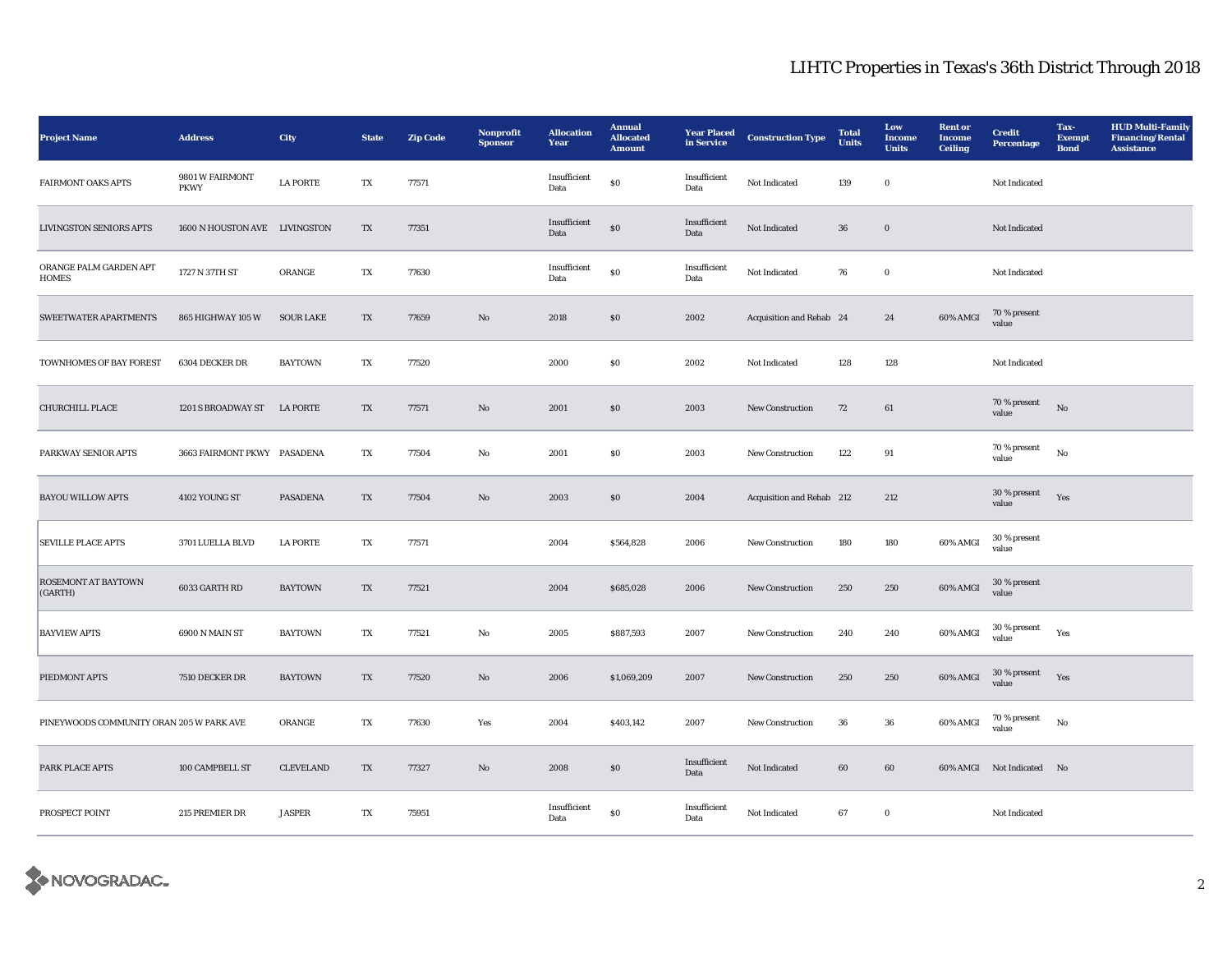| <b>Project Name</b>                      | <b>Address</b>                 | City             | <b>State</b>            | <b>Zip Code</b> | Nonprofit<br><b>Sponsor</b> | <b>Allocation</b><br>Year | <b>Annual</b><br><b>Allocated</b><br><b>Amount</b> | <b>Year Placed</b><br>in Service | <b>Construction Type</b>  | <b>Total</b><br>Units | Low<br>Income<br><b>Units</b> | <b>Rent</b> or<br><b>Income</b><br><b>Ceiling</b> | <b>Credit</b><br><b>Percentage</b> | Tax-<br><b>Exempt</b><br><b>Bond</b> | <b>HUD Multi-Family</b><br><b>Financing/Rental</b><br><b>Assistance</b> |
|------------------------------------------|--------------------------------|------------------|-------------------------|-----------------|-----------------------------|---------------------------|----------------------------------------------------|----------------------------------|---------------------------|-----------------------|-------------------------------|---------------------------------------------------|------------------------------------|--------------------------------------|-------------------------------------------------------------------------|
| <b>FAIRMONT OAKS APTS</b>                | 9801 W FAIRMONT<br><b>PKWY</b> | <b>LA PORTE</b>  | TX                      | 77571           |                             | Insufficient<br>Data      | $\$0$                                              | Insufficient<br>Data             | Not Indicated             | 139                   | $\mathbf 0$                   |                                                   | Not Indicated                      |                                      |                                                                         |
| <b>LIVINGSTON SENIORS APTS</b>           | 1600 N HOUSTON AVE LIVINGSTON  |                  | TX                      | 77351           |                             | Insufficient<br>Data      | $\$0$                                              | Insufficient<br>Data             | Not Indicated             | ${\bf 36}$            | $\mathbf 0$                   |                                                   | Not Indicated                      |                                      |                                                                         |
| ORANGE PALM GARDEN APT<br><b>HOMES</b>   | 1727 N 37TH ST                 | ORANGE           | TX                      | 77630           |                             | Insufficient<br>Data      | $\$0$                                              | Insufficient<br>Data             | Not Indicated             | 76                    | $\mathbf 0$                   |                                                   | Not Indicated                      |                                      |                                                                         |
| <b>SWEETWATER APARTMENTS</b>             | 865 HIGHWAY 105 W              | <b>SOUR LAKE</b> | TX                      | 77659           | No                          | 2018                      | \$0\$                                              | 2002                             | Acquisition and Rehab 24  |                       | 24                            | 60% AMGI                                          | 70 % present<br>value              |                                      |                                                                         |
| TOWNHOMES OF BAY FOREST                  | 6304 DECKER DR                 | <b>BAYTOWN</b>   | TX                      | 77520           |                             | 2000                      | $\$0$                                              | 2002                             | Not Indicated             | 128                   | 128                           |                                                   | Not Indicated                      |                                      |                                                                         |
| <b>CHURCHILL PLACE</b>                   | 1201 S BROADWAY ST             | <b>LA PORTE</b>  | TX                      | 77571           | $\mathbf{N}\mathbf{o}$      | 2001                      | \$0\$                                              | 2003                             | <b>New Construction</b>   | 72                    | 61                            |                                                   | 70 % present<br>value              | No                                   |                                                                         |
| PARKWAY SENIOR APTS                      | 3663 FAIRMONT PKWY PASADENA    |                  | TX                      | 77504           | No                          | 2001                      | $\$0$                                              | 2003                             | New Construction          | 122                   | 91                            |                                                   | 70 % present<br>value              | $_{\rm No}$                          |                                                                         |
| <b>BAYOU WILLOW APTS</b>                 | 4102 YOUNG ST                  | <b>PASADENA</b>  | TX                      | 77504           | $\mathbf{N}\mathbf{o}$      | 2003                      | \$0\$                                              | 2004                             | Acquisition and Rehab 212 |                       | 212                           |                                                   | 30 % present<br>value              | Yes                                  |                                                                         |
| <b>SEVILLE PLACE APTS</b>                | 3701 LUELLA BLVD               | <b>LA PORTE</b>  | TX                      | 77571           |                             | 2004                      | \$564,828                                          | 2006                             | New Construction          | 180                   | 180                           | 60% AMGI                                          | 30 % present<br>value              |                                      |                                                                         |
| <b>ROSEMONT AT BAYTOWN</b><br>(GARTH)    | 6033 GARTH RD                  | <b>BAYTOWN</b>   | TX                      | 77521           |                             | 2004                      | \$685,028                                          | 2006                             | New Construction          | 250                   | 250                           | 60% AMGI                                          | 30 % present<br>value              |                                      |                                                                         |
| <b>BAYVIEW APTS</b>                      | 6900 N MAIN ST                 | <b>BAYTOWN</b>   | TX                      | 77521           | No                          | 2005                      | \$887,593                                          | 2007                             | New Construction          | 240                   | 240                           | 60% AMGI                                          | 30 % present<br>value              | Yes                                  |                                                                         |
| PIEDMONT APTS                            | 7510 DECKER DR                 | <b>BAYTOWN</b>   | TX                      | 77520           | No                          | 2006                      | \$1,069,209                                        | 2007                             | <b>New Construction</b>   | 250                   | 250                           | 60% AMGI                                          | 30 % present<br>value              | Yes                                  |                                                                         |
| PINEYWOODS COMMUNITY ORAN 205 W PARK AVE |                                | ORANGE           | TX                      | 77630           | Yes                         | 2004                      | \$403,142                                          | 2007                             | <b>New Construction</b>   | $36\,$                | ${\bf 36}$                    | 60% AMGI                                          | 70 % present<br>value              | No                                   |                                                                         |
| PARK PLACE APTS                          | 100 CAMPBELL ST                | <b>CLEVELAND</b> | TX                      | 77327           | $\rm No$                    | 2008                      | $\boldsymbol{\mathsf{S}}\boldsymbol{\mathsf{O}}$   | Insufficient<br>Data             | Not Indicated             | $\bf{60}$             | 60                            |                                                   | 60% AMGI Not Indicated No          |                                      |                                                                         |
| PROSPECT POINT                           | 215 PREMIER DR                 | <b>JASPER</b>    | $\mathbf{T} \mathbf{X}$ | 75951           |                             | Insufficient<br>Data      | $\$0$                                              | Insufficient<br>Data             | Not Indicated             | 67                    | $\mathbf 0$                   |                                                   | Not Indicated                      |                                      |                                                                         |

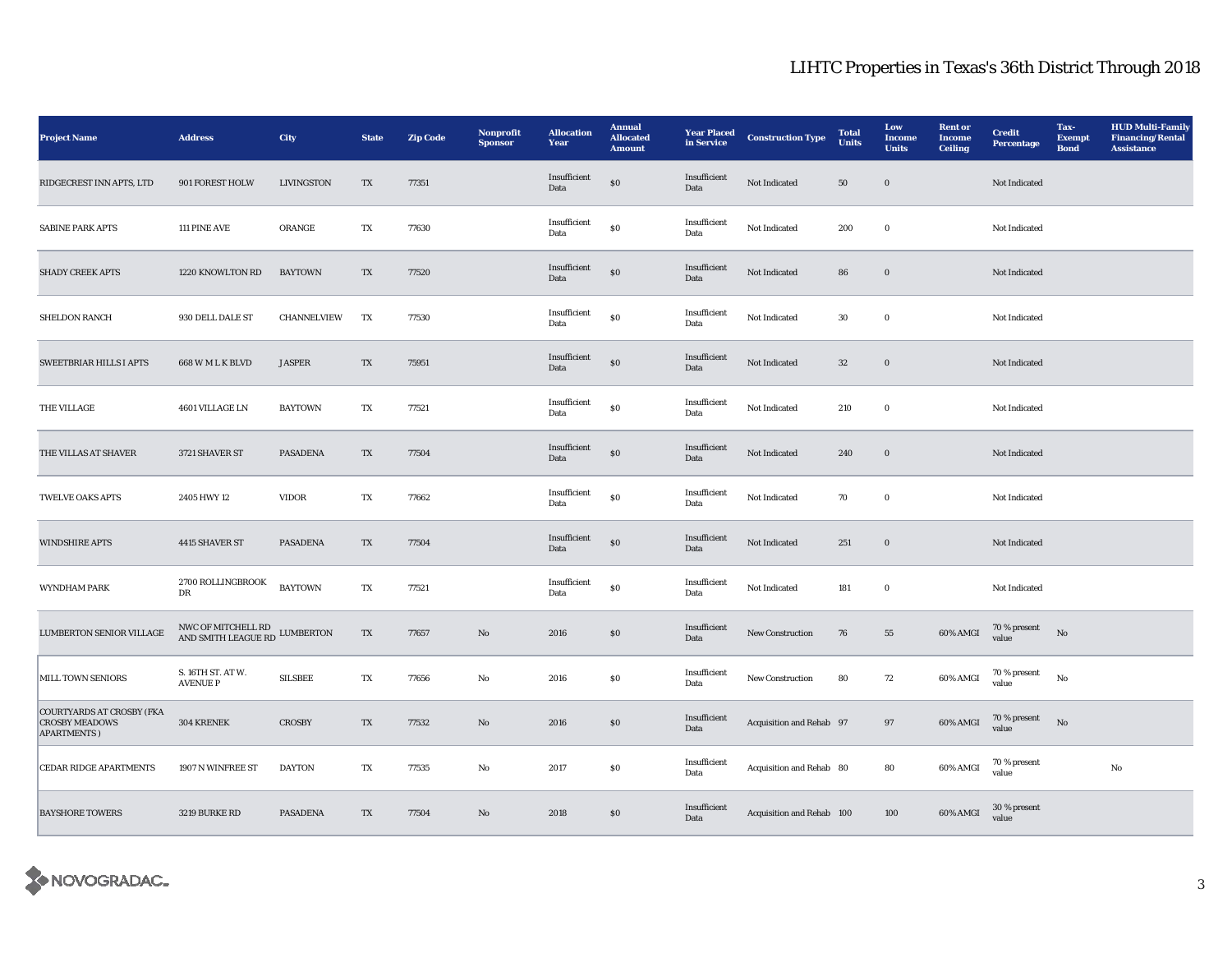| <b>Project Name</b>                                                              | <b>Address</b>                            | City              | <b>State</b>             | <b>Zip Code</b> | Nonprofit<br><b>Sponsor</b> | <b>Allocation</b><br>Year       | <b>Annual</b><br><b>Allocated</b><br><b>Amount</b> | <b>Year Placed</b><br>in Service | <b>Construction Type</b>  | <b>Total</b><br>Units | Low<br>Income<br><b>Units</b> | <b>Rent</b> or<br><b>Income</b><br><b>Ceiling</b> | <b>Credit</b><br><b>Percentage</b> | Tax-<br><b>Exempt</b><br><b>Bond</b> | <b>HUD Multi-Family</b><br><b>Financing/Rental</b><br><b>Assistance</b> |
|----------------------------------------------------------------------------------|-------------------------------------------|-------------------|--------------------------|-----------------|-----------------------------|---------------------------------|----------------------------------------------------|----------------------------------|---------------------------|-----------------------|-------------------------------|---------------------------------------------------|------------------------------------|--------------------------------------|-------------------------------------------------------------------------|
| RIDGECREST INN APTS, LTD                                                         | 901 FOREST HOLW                           | <b>LIVINGSTON</b> | TX                       | 77351           |                             | Insufficient<br>$\mathbf{Data}$ | $\$0$                                              | Insufficient<br>Data             | Not Indicated             | ${\bf 50}$            | $\mathbf 0$                   |                                                   | Not Indicated                      |                                      |                                                                         |
| <b>SABINE PARK APTS</b>                                                          | 111 PINE AVE                              | ORANGE            | TX                       | 77630           |                             | Insufficient<br>Data            | $\$0$                                              | Insufficient<br>Data             | Not Indicated             | 200                   | $\bf{0}$                      |                                                   | Not Indicated                      |                                      |                                                                         |
| SHADY CREEK APTS                                                                 | 1220 KNOWLTON RD                          | <b>BAYTOWN</b>    | TX                       | 77520           |                             | Insufficient<br>Data            | $\$0$                                              | Insufficient<br>Data             | Not Indicated             | 86                    | $\bf{0}$                      |                                                   | Not Indicated                      |                                      |                                                                         |
| <b>SHELDON RANCH</b>                                                             | 930 DELL DALE ST                          | CHANNELVIEW       | TX                       | 77530           |                             | Insufficient<br>Data            | $\$0$                                              | Insufficient<br>Data             | Not Indicated             | $30\,$                | $\bf{0}$                      |                                                   | Not Indicated                      |                                      |                                                                         |
| <b>SWEETBRIAR HILLS I APTS</b>                                                   | 668 W M L K BLVD                          | <b>JASPER</b>     | $\mathcal{T}\mathcal{X}$ | 75951           |                             | Insufficient<br>Data            | $\$0$                                              | Insufficient<br>Data             | Not Indicated             | $32\,$                | $\mathbf 0$                   |                                                   | Not Indicated                      |                                      |                                                                         |
| THE VILLAGE                                                                      | 4601 VILLAGE LN                           | <b>BAYTOWN</b>    | TX                       | 77521           |                             | Insufficient<br>Data            | $\$0$                                              | Insufficient<br>Data             | Not Indicated             | 210                   | $\bf{0}$                      |                                                   | Not Indicated                      |                                      |                                                                         |
| THE VILLAS AT SHAVER                                                             | 3721 SHAVER ST                            | <b>PASADENA</b>   | TX                       | 77504           |                             | Insufficient<br>Data            | ${\bf S0}$                                         | Insufficient<br>$\mathbf{Data}$  | Not Indicated             | 240                   | $\boldsymbol{0}$              |                                                   | Not Indicated                      |                                      |                                                                         |
| <b>TWELVE OAKS APTS</b>                                                          | 2405 HWY 12                               | <b>VIDOR</b>      | TX                       | 77662           |                             | Insufficient<br>Data            | $\$0$                                              | Insufficient<br>Data             | Not Indicated             | 70                    | $\bf{0}$                      |                                                   | Not Indicated                      |                                      |                                                                         |
| <b>WINDSHIRE APTS</b>                                                            | 4415 SHAVER ST                            | <b>PASADENA</b>   | TX                       | 77504           |                             | Insufficient<br>Data            | $\$0$                                              | Insufficient<br>Data             | Not Indicated             | 251                   | $\bf{0}$                      |                                                   | Not Indicated                      |                                      |                                                                         |
| WYNDHAM PARK                                                                     | 2700 ROLLINGBROOK<br>DR                   | <b>BAYTOWN</b>    | $\mathbf{T} \mathbf{X}$  | 77521           |                             | Insufficient<br>Data            | $\$0$                                              | Insufficient<br>Data             | Not Indicated             | 181                   | $\mathbf 0$                   |                                                   | Not Indicated                      |                                      |                                                                         |
| LUMBERTON SENIOR VILLAGE                                                         | NWC OF MITCHELL RD<br>AND SMITH LEAGUE RD | ${\bf LUMBERTON}$ | $\mathbf{T}\mathbf{X}$   | 77657           | $\rm No$                    | 2016                            | ${\bf S0}$                                         | Insufficient<br>Data             | New Construction          | ${\bf 76}$            | ${\bf 55}$                    | $60\%$ AMGI                                       | 70 % present<br>value              | $\rm No$                             |                                                                         |
| MILL TOWN SENIORS                                                                | S. 16TH ST. AT W.<br><b>AVENUE P</b>      | <b>SILSBEE</b>    | TX                       | 77656           | No                          | 2016                            | $\$0$                                              | Insufficient<br>Data             | <b>New Construction</b>   | 80                    | 72                            | 60% AMGI                                          | $70\,\%$ present<br>value          | No                                   |                                                                         |
| <b>COURTYARDS AT CROSBY (FKA</b><br><b>CROSBY MEADOWS</b><br><b>APARTMENTS</b> ) | 304 KRENEK                                | <b>CROSBY</b>     | TX                       | 77532           | No                          | 2016                            | $\boldsymbol{\mathsf{S}}\boldsymbol{\mathsf{0}}$   | Insufficient<br>Data             | Acquisition and Rehab 97  |                       | 97                            | 60% AMGI                                          | 70 % present<br>value              | No                                   |                                                                         |
| <b>CEDAR RIDGE APARTMENTS</b>                                                    | 1907 N WINFREE ST                         | <b>DAYTON</b>     | TX                       | 77535           | No                          | 2017                            | \$0\$                                              | Insufficient<br>Data             | Acquisition and Rehab 80  |                       | 80                            | 60% AMGI                                          | 70 % present<br>value              |                                      | No                                                                      |
| <b>BAYSHORE TOWERS</b>                                                           | 3219 BURKE RD                             | <b>PASADENA</b>   | TX                       | 77504           | No                          | 2018                            | \$0\$                                              | Insufficient<br>Data             | Acquisition and Rehab 100 |                       | 100                           | 60% AMGI                                          | 30 % present<br>value              |                                      |                                                                         |

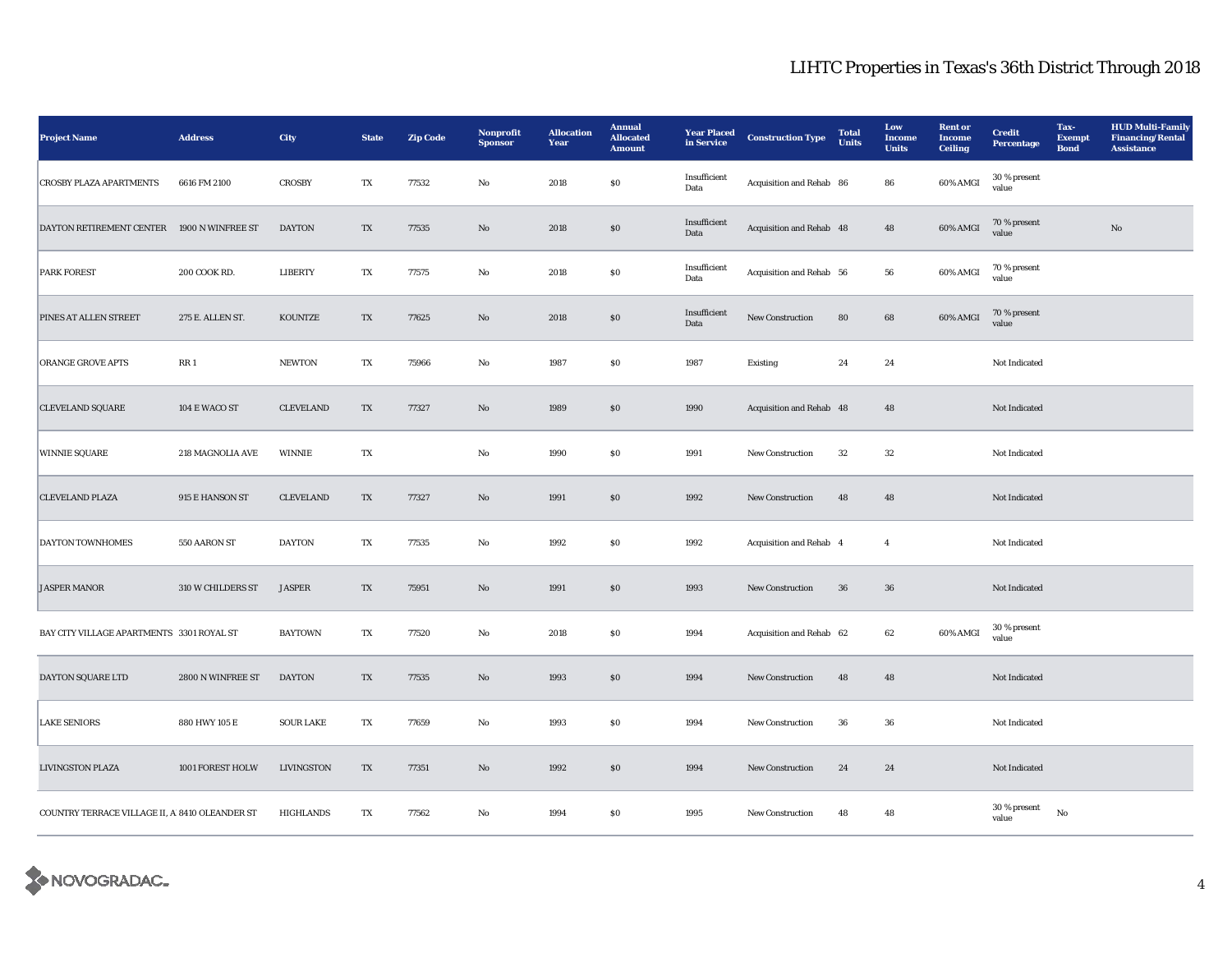| <b>Project Name</b>                            | <b>Address</b>    | City              | <b>State</b> | <b>Zip Code</b> | Nonprofit<br><b>Sponsor</b> | <b>Allocation</b><br>Year | <b>Annual</b><br><b>Allocated</b><br><b>Amount</b> | <b>Year Placed</b><br>in Service | <b>Construction Type</b> | <b>Total</b><br><b>Units</b> | Low<br><b>Income</b><br><b>Units</b> | <b>Rent</b> or<br><b>Income</b><br><b>Ceiling</b> | <b>Credit</b><br>Percentage | Tax-<br><b>Exempt</b><br><b>Bond</b> | <b>HUD Multi-Family</b><br><b>Financing/Rental</b><br><b>Assistance</b> |
|------------------------------------------------|-------------------|-------------------|--------------|-----------------|-----------------------------|---------------------------|----------------------------------------------------|----------------------------------|--------------------------|------------------------------|--------------------------------------|---------------------------------------------------|-----------------------------|--------------------------------------|-------------------------------------------------------------------------|
| <b>CROSBY PLAZA APARTMENTS</b>                 | 6616 FM 2100      | <b>CROSBY</b>     | TX           | 77532           | No                          | 2018                      | \$0                                                | Insufficient<br>Data             | Acquisition and Rehab 86 |                              | 86                                   | 60% AMGI                                          | 30 % present<br>value       |                                      |                                                                         |
| DAYTON RETIREMENT CENTER                       | 1900 N WINFREE ST | <b>DAYTON</b>     | TX           | 77535           | $\rm No$                    | 2018                      | $\$0$                                              | Insufficient<br>Data             | Acquisition and Rehab 48 |                              | 48                                   | 60% AMGI                                          | 70 % present<br>value       |                                      | $\rm No$                                                                |
| <b>PARK FOREST</b>                             | 200 COOK RD.      | LIBERTY           | TX           | 77575           | No                          | 2018                      | $\$0$                                              | Insufficient<br>Data             | Acquisition and Rehab 56 |                              | 56                                   | 60% AMGI                                          | 70 % present<br>value       |                                      |                                                                         |
| PINES AT ALLEN STREET                          | 275 E. ALLEN ST.  | KOUNTZE           | TX           | 77625           | $\rm\thinspace No$          | 2018                      | $\bf{S0}$                                          | Insufficient<br>Data             | New Construction         | 80                           | $\bf68$                              | 60% AMGI                                          | 70 % present<br>value       |                                      |                                                                         |
| <b>ORANGE GROVE APTS</b>                       | RR 1              | <b>NEWTON</b>     | TX           | 75966           | No                          | 1987                      | $\$0$                                              | 1987                             | Existing                 | 24                           | 24                                   |                                                   | Not Indicated               |                                      |                                                                         |
| <b>CLEVELAND SQUARE</b>                        | 104 E WACO ST     | <b>CLEVELAND</b>  | TX           | 77327           | $\mathbf{N}\mathbf{o}$      | 1989                      | \$0                                                | 1990                             | Acquisition and Rehab 48 |                              | 48                                   |                                                   | Not Indicated               |                                      |                                                                         |
| <b>WINNIE SQUARE</b>                           | 218 MAGNOLIA AVE  | <b>WINNIE</b>     | TX           |                 | $\rm No$                    | 1990                      | $\$0$                                              | 1991                             | New Construction         | $32\,$                       | $32\,$                               |                                                   | Not Indicated               |                                      |                                                                         |
| <b>CLEVELAND PLAZA</b>                         | 915 E HANSON ST   | <b>CLEVELAND</b>  | TX           | 77327           | $\mathbf{N}\mathbf{o}$      | 1991                      | \$0                                                | 1992                             | New Construction         | 48                           | 48                                   |                                                   | Not Indicated               |                                      |                                                                         |
| <b>DAYTON TOWNHOMES</b>                        | 550 AARON ST      | <b>DAYTON</b>     | TX           | 77535           | No                          | 1992                      | ${\bf S0}$                                         | 1992                             | Acquisition and Rehab 4  |                              | $\overline{4}$                       |                                                   | Not Indicated               |                                      |                                                                         |
| <b>JASPER MANOR</b>                            | 310 W CHILDERS ST | <b>JASPER</b>     | TX           | 75951           | No                          | 1991                      | \$0                                                | 1993                             | New Construction         | 36                           | 36                                   |                                                   | Not Indicated               |                                      |                                                                         |
| BAY CITY VILLAGE APARTMENTS 3301 ROYAL ST      |                   | <b>BAYTOWN</b>    | TX           | 77520           | $\rm\thinspace No$          | 2018                      | $\$0$                                              | 1994                             | Acquisition and Rehab 62 |                              | 62                                   | 60% AMGI                                          | 30 % present<br>value       |                                      |                                                                         |
| DAYTON SQUARE LTD                              | 2800 N WINFREE ST | <b>DAYTON</b>     | TX           | 77535           | $\mathbf{N}\mathbf{o}$      | 1993                      | $\$0$                                              | 1994                             | New Construction         | 48                           | 48                                   |                                                   | Not Indicated               |                                      |                                                                         |
| <b>LAKE SENIORS</b>                            | 880 HWY 105 E     | <b>SOUR LAKE</b>  | TX           | 77659           | No                          | 1993                      | $\$0$                                              | 1994                             | New Construction         | 36                           | 36                                   |                                                   | Not Indicated               |                                      |                                                                         |
| <b>LIVINGSTON PLAZA</b>                        | 1001 FOREST HOLW  | <b>LIVINGSTON</b> | TX           | 77351           | $\mathbf{N}\mathbf{o}$      | 1992                      | $\$0$                                              | 1994                             | New Construction         | 24                           | 24                                   |                                                   | Not Indicated               |                                      |                                                                         |
| COUNTRY TERRACE VILLAGE II, A 8410 OLEANDER ST |                   | HIGHLANDS         | TX           | 77562           | No                          | 1994                      | \$0                                                | 1995                             | <b>New Construction</b>  | 48                           | 48                                   |                                                   | 30 % present<br>value       | No                                   |                                                                         |